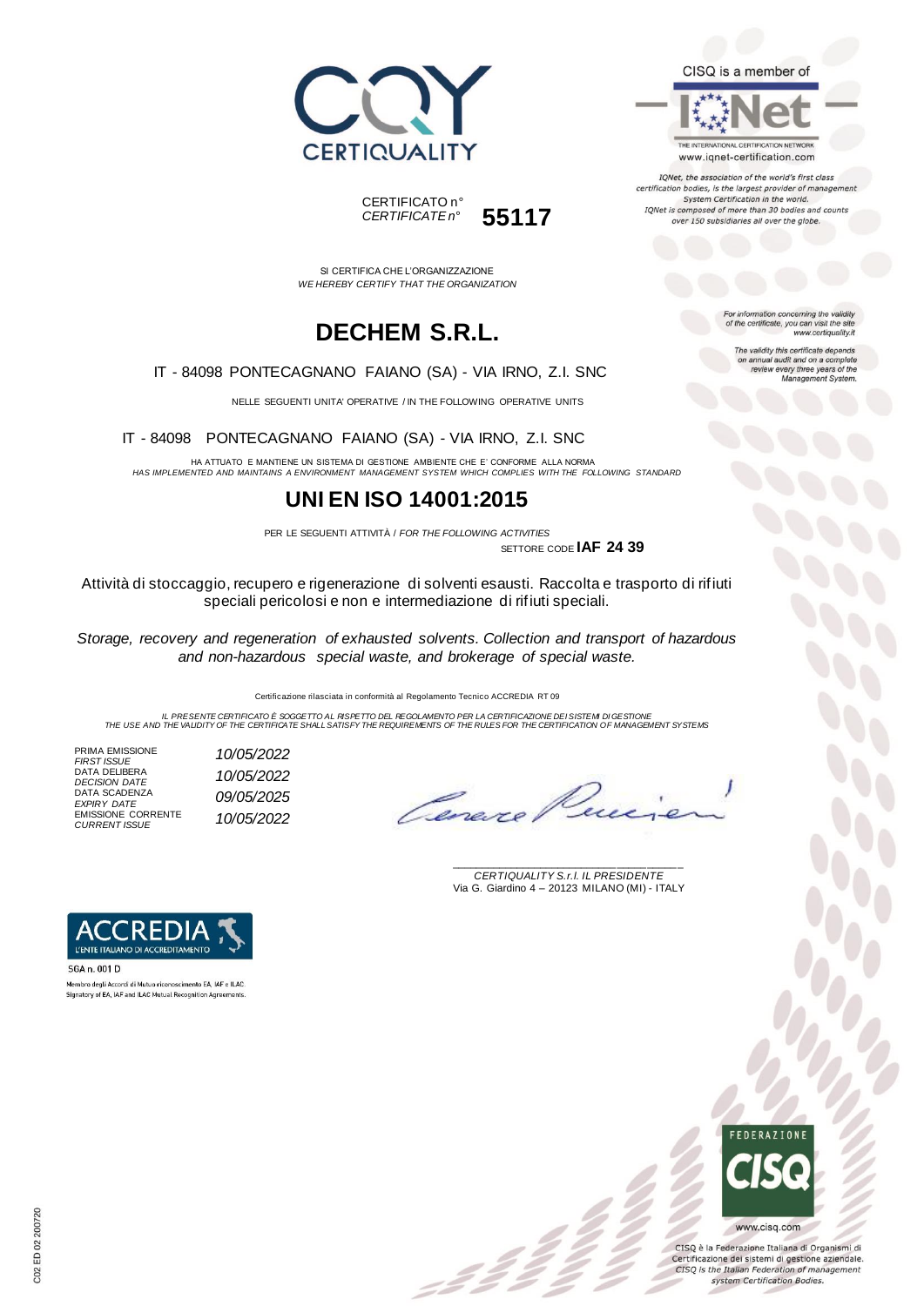



THE INTERNATIONAL CERTIFICATION NETWORK www.iqnet-certification.com

IQNet, the association of the world's first class certification bodies, is the largest provider of management System Certification in the world. IQNet is composed of more than 30 bodies and counts over 150 subsidiaries all over the globe.

SI CERTIFICA CHE L'ORGANIZZAZIONE *WE HEREBY CERTIFY THAT THE ORGANIZATION*

CERTIFICATO n°

*CERTIFICATE n°* **55117**

## **DECHEM S.R.L.**

IT - 84098 PONTECAGNANO FAIANO (SA) - VIA IRNO, Z.I. SNC

NELLE SEGUENTI UNITA' OPERATIVE / IN THE FOLLOWING OPERATIVE UNITS

IT - 84098 PONTECAGNANO FAIANO (SA) - VIA IRNO, Z.I. SNC

HA ATTUATO E MANTIENE UN SISTEMA DI GESTIONE AMBIENTE CHE E' CONFORME ALLA NORMA *HAS IMPLEMENTED AND MAINTAINS A ENVIRONMENT MANAGEMENT SYSTEM WHICH COMPLIES WITH THE FOLLOWING STANDARD*

### **UNI EN ISO 14001:2015**

PER LE SEGUENTI ATTIVITÀ / *FOR THE FOLLOWING ACTIVITIES*

SETTORE CODE **IAF 24 39**

Attività di stoccaggio, recupero e rigenerazione di solventi esausti. Raccolta e trasporto di rifiuti speciali pericolosi e non e intermediazione di rifiuti speciali.

*Storage, recovery and regeneration of exhausted solvents. Collection and transport of hazardous and non-hazardous special waste, and brokerage of special waste.*

Certificazione rilasciata in conformità al Regolamento Tecnico ACCREDIA RT 09

= 2 2<br>-

IL PRESENTE CERTIFICATO E SOGGETTO AL RISPETTO DEL REGOLAMENTO PER LA CERTIFICAZIONE DEI SISTEMI DI GESTIONE<br>THE USE AND THE VALIDITY OF THE CERTIFICATE SHALL SATISFY THE REQUIREMENTS OF THE RULES FOR THE CERTIFICATION OF

PRIMA EMISSIONE *FIRST ISSUE 10/05/2022* DATA DELIBERA *DECISION DATE 10/05/2022* DATA SCADENZA *EXPIRY DATE 09/05/2025* EMISSIONE CORRENTE *CURRENT ISSUE 10/05/2022*

Omere

\_\_\_\_\_\_\_\_\_\_\_\_\_\_\_\_\_\_\_\_\_\_\_\_\_\_\_\_\_\_\_\_\_\_\_\_\_\_\_ *CERTIQUALITY S.r.l. IL PRESIDENTE* Via G. Giardino 4 – 20123 MILANO (MI) - ITALY



Membro degli Accordi di Mutuo riconoscimento EA, IAF e ILAC Signatory of EA, IAF and ILAC Mutual Recognition Agreements



CISQ è la Federazione Italiana di Organismi di Certificazione dei sistemi di gestione aziendale. CISQ is the Italian Federation of management system Certification Bodies.

For information concerning the validity<br>of the certificate, you can visit the site www.certiquality.it

The validity this certificate depends on annual audit and on a complete<br>review every three years of the<br>Management System.